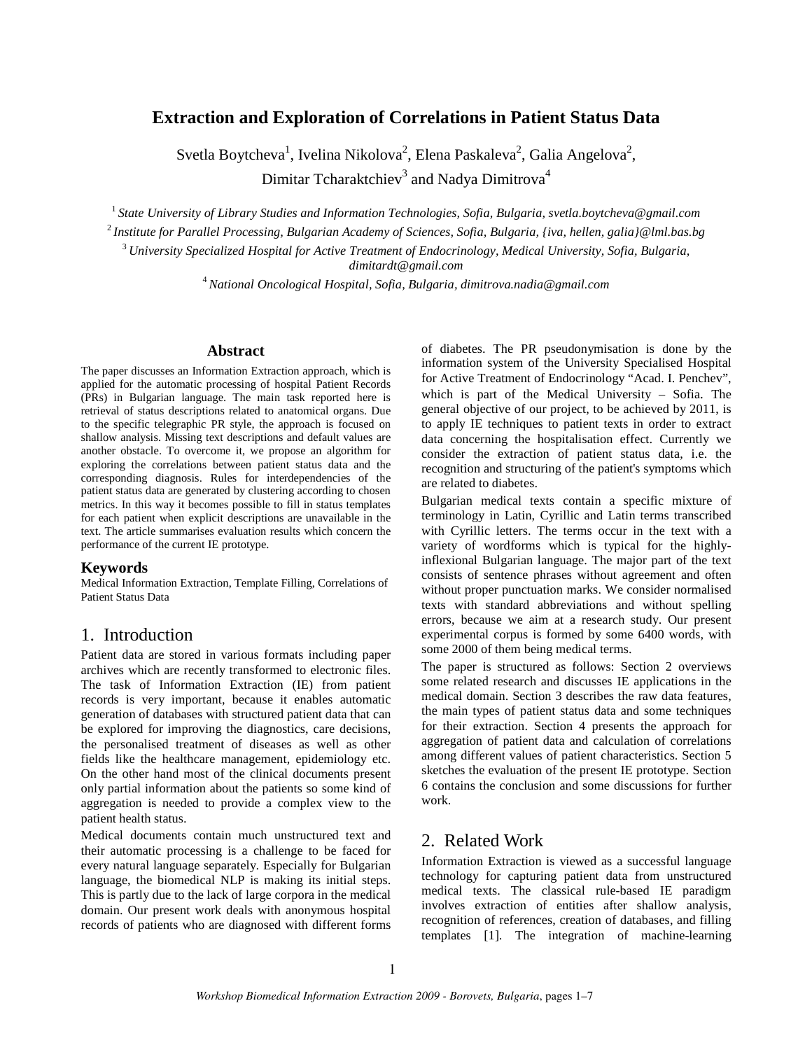# **Extraction and Exploration of Correlations in Patient Status Data**

Svetla Boytcheva<sup>1</sup>, Ivelina Nikolova<sup>2</sup>, Elena Paskaleva<sup>2</sup>, Galia Angelova<sup>2</sup>, Dimitar Tcharaktchiev $^3$  and Nadya Dimitrova $^4$ 

<sup>1</sup>*State University of Library Studies and Information Technologies, Sofia, Bulgaria, svetla.boytcheva@gmail.com* <sup>2</sup>*Institute for Parallel Processing, Bulgarian Academy of Sciences, Sofia, Bulgaria, {iva, hellen, galia}@lml.bas.bg*

<sup>3</sup>*University Specialized Hospital for Active Treatment of Endocrinology, Medical University, Sofia, Bulgaria, dimitardt@gmail.com*

<sup>4</sup>*National Oncological Hospital, Sofia, Bulgaria, dimitrova.nadia@gmail.com*

#### **Abstract**

The paper discusses an Information Extraction approach, which is applied for the automatic processing of hospital Patient Records (PRs) in Bulgarian language. The main task reported here is retrieval of status descriptions related to anatomical organs. Due to the specific telegraphic PR style, the approach is focused on shallow analysis. Missing text descriptions and default values are another obstacle. To overcome it, we propose an algorithm for exploring the correlations between patient status data and the corresponding diagnosis. Rules for interdependencies of the patient status data are generated by clustering according to chosen metrics. In this way it becomes possible to fill in status templates for each patient when explicit descriptions are unavailable in the text. The article summarises evaluation results which concern the performance of the current IE prototype.

#### **Keywords**

Medical Information Extraction, Template Filling, Correlations of Patient Status Data

### 1. Introduction

Patient data are stored in various formats including paper archives which are recently transformed to electronic files. The task of Information Extraction (IE) from patient records is very important, because it enables automatic generation of databases with structured patient data that can be explored for improving the diagnostics, care decisions, the personalised treatment of diseases as well as other fields like the healthcare management, epidemiology etc. On the other hand most of the clinical documents present only partial information about the patients so some kind of aggregation is needed to provide a complex view to the patient health status.

Medical documents contain much unstructured text and their automatic processing is a challenge to be faced for every natural language separately. Especially for Bulgarian language, the biomedical NLP is making its initial steps. This is partly due to the lack of large corpora in the medical domain. Our present work deals with anonymous hospital records of patients who are diagnosed with different forms

of diabetes. The PR pseudonymisation is done by the information system of the University Specialised Hospital for Active Treatment of Endocrinology "Acad. I. Penchev", which is part of the Medical University – Sofia. The general objective of our project, to be achieved by 2011, is to apply IE techniques to patient texts in order to extract data concerning the hospitalisation effect. Currently we consider the extraction of patient status data, i.e. the recognition and structuring of the patient's symptoms which are related to diabetes.

Bulgarian medical texts contain a specific mixture of terminology in Latin, Cyrillic and Latin terms transcribed with Cyrillic letters. The terms occur in the text with a variety of wordforms which is typical for the highlyinflexional Bulgarian language. The major part of the text consists of sentence phrases without agreement and often without proper punctuation marks. We consider normalised texts with standard abbreviations and without spelling errors, because we aim at a research study. Our present experimental corpus is formed by some 6400 words, with some 2000 of them being medical terms.

The paper is structured as follows: Section 2 overviews some related research and discusses IE applications in the medical domain. Section 3 describes the raw data features, the main types of patient status data and some techniques for their extraction. Section 4 presents the approach for aggregation of patient data and calculation of correlations among different values of patient characteristics. Section 5 sketches the evaluation of the present IE prototype. Section 6 contains the conclusion and some discussions for further work.

## 2. Related Work

Information Extraction is viewed as a successful language technology for capturing patient data from unstructured medical texts. The classical rule-based IE paradigm involves extraction of entities after shallow analysis, recognition of references, creation of databases, and filling templates [1]. The integration of machine-learning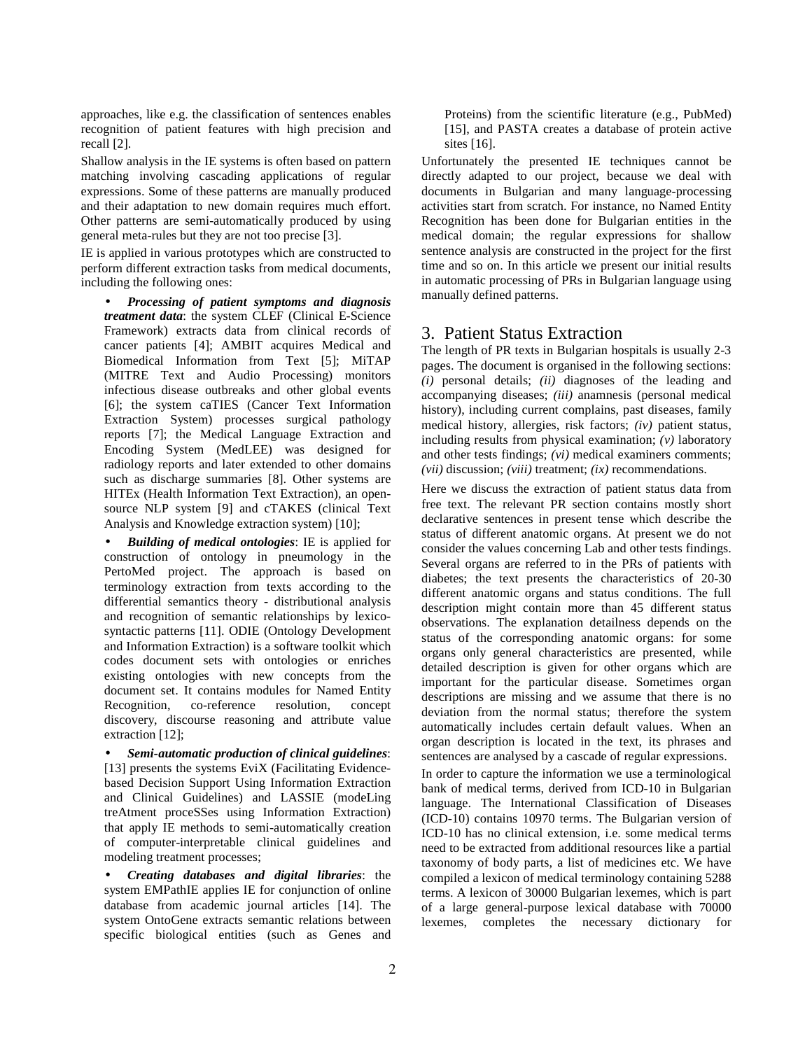approaches, like e.g. the classification of sentences enables recognition of patient features with high precision and recall [2].

Shallow analysis in the IE systems is often based on pattern matching involving cascading applications of regular expressions. Some of these patterns are manually produced and their adaptation to new domain requires much effort. Other patterns are semi-automatically produced by using general meta-rules but they are not too precise [3].

IE is applied in various prototypes which are constructed to perform different extraction tasks from medical documents, including the following ones:

• *Processing of patient symptoms and diagnosis treatment data*: the system CLEF (Clinical E-Science Framework) extracts data from clinical records of cancer patients [4]; AMBIT acquires Medical and Biomedical Information from Text [5]; MiTAP (MITRE Text and Audio Processing) monitors infectious disease outbreaks and other global events [6]; the system caTIES (Cancer Text Information Extraction System) processes surgical pathology reports [7]; the Medical Language Extraction and Encoding System (MedLEE) was designed for radiology reports and later extended to other domains such as discharge summaries [8]. Other systems are HITEx (Health Information Text Extraction), an opensource NLP system [9] and cTAKES (clinical Text Analysis and Knowledge extraction system) [10];

• *Building of medical ontologies*: IE is applied for construction of ontology in pneumology in the PertoMed project. The approach is based on terminology extraction from texts according to the differential semantics theory - distributional analysis and recognition of semantic relationships by lexicosyntactic patterns [11]. ODIE (Ontology Development and Information Extraction) is a software toolkit which codes document sets with ontologies or enriches existing ontologies with new concepts from the document set. It contains modules for Named Entity Recognition, co-reference resolution, concept discovery, discourse reasoning and attribute value extraction [12];

• *Semi-automatic production of clinical guidelines*: [13] presents the systems EviX (Facilitating Evidencebased Decision Support Using Information Extraction and Clinical Guidelines) and LASSIE (modeLing treAtment proceSSes using Information Extraction) that apply IE methods to semi-automatically creation of computer-interpretable clinical guidelines and modeling treatment processes;

• *Creating databases and digital libraries*: the system EMPathIE applies IE for conjunction of online database from academic journal articles [14]. The system OntoGene extracts semantic relations between specific biological entities (such as Genes and Proteins) from the scientific literature (e.g., PubMed) [15], and PASTA creates a database of protein active sites [16].

Unfortunately the presented IE techniques cannot be directly adapted to our project, because we deal with documents in Bulgarian and many language-processing activities start from scratch. For instance, no Named Entity Recognition has been done for Bulgarian entities in the medical domain; the regular expressions for shallow sentence analysis are constructed in the project for the first time and so on. In this article we present our initial results in automatic processing of PRs in Bulgarian language using manually defined patterns.

### 3. Patient Status Extraction

The length of PR texts in Bulgarian hospitals is usually 2-3 pages. The document is organised in the following sections: *(i)* personal details; *(ii)* diagnoses of the leading and accompanying diseases; *(iii)* anamnesis (personal medical history), including current complains, past diseases, family medical history, allergies, risk factors; *(iv)* patient status, including results from physical examination; *(v)* laboratory and other tests findings; *(vi)* medical examiners comments; *(vii)* discussion; *(viii)* treatment; *(ix)* recommendations.

Here we discuss the extraction of patient status data from free text. The relevant PR section contains mostly short declarative sentences in present tense which describe the status of different anatomic organs. At present we do not consider the values concerning Lab and other tests findings. Several organs are referred to in the PRs of patients with diabetes; the text presents the characteristics of 20-30 different anatomic organs and status conditions. The full description might contain more than 45 different status observations. The explanation detailness depends on the status of the corresponding anatomic organs: for some organs only general characteristics are presented, while detailed description is given for other organs which are important for the particular disease. Sometimes organ descriptions are missing and we assume that there is no deviation from the normal status; therefore the system automatically includes certain default values. When an organ description is located in the text, its phrases and sentences are analysed by a cascade of regular expressions.

In order to capture the information we use a terminological bank of medical terms, derived from ICD-10 in Bulgarian language. The International Classification of Diseases (ICD-10) contains 10970 terms. The Bulgarian version of ICD-10 has no clinical extension, i.e. some medical terms need to be extracted from additional resources like a partial taxonomy of body parts, a list of medicines etc. We have compiled a lexicon of medical terminology containing 5288 terms. A lexicon of 30000 Bulgarian lexemes, which is part of a large general-purpose lexical database with 70000 lexemes, completes the necessary dictionary for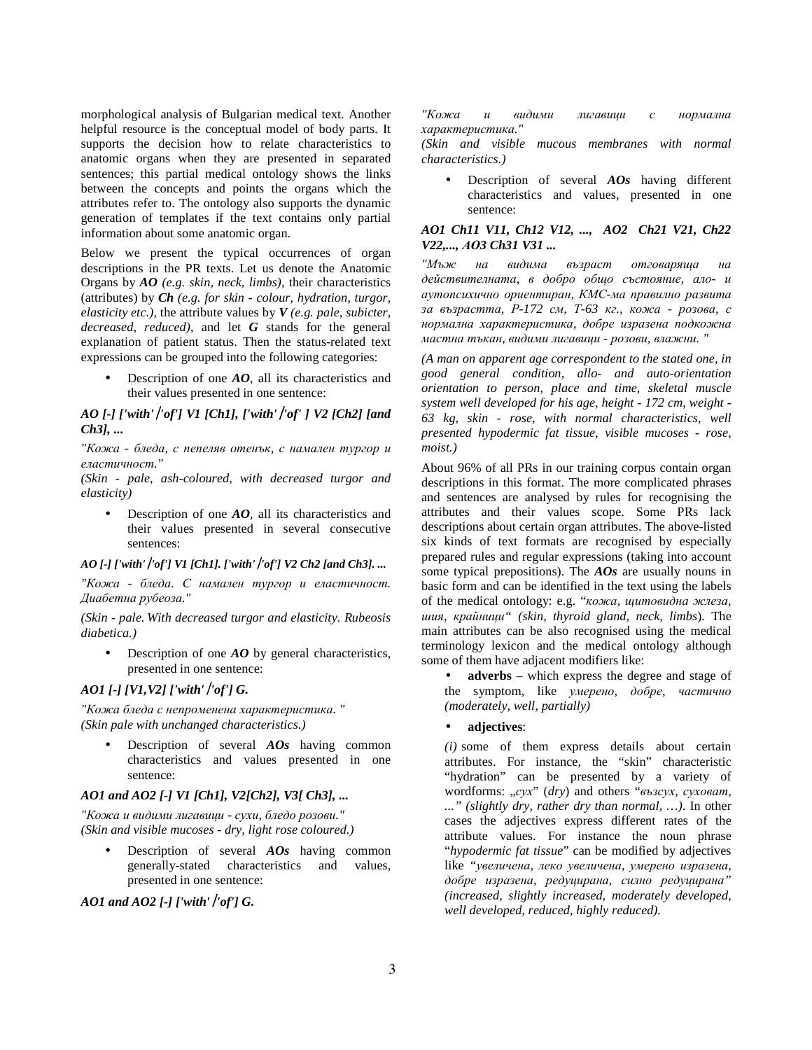morphological analysis of Bulgarian medical text. Another helpful resource is the conceptual model of body parts. It supports the decision how to relate characteristics to anatomic organs when they are presented in separated sentences; this partial medical ontology shows the links between the concepts and points the organs which the attributes refer to. The ontology also supports the dynamic generation of templates if the text contains only partial information about some anatomic organ.

Below we present the typical occurrences of organ descriptions in the PR texts. Let us denote the Anatomic Organs by *AO (e.g. skin, neck, limbs)*, their characteristics (attributes) by *Ch (e.g. for skin - colour, hydration, turgor, elasticity etc.)*, the attribute values by *V (e.g. pale, subicter, decreased, reduced)*, and let *G* stands for the general explanation of patient status. Then the status-related text expressions can be grouped into the following categories:

Description of one  $AO$ , all its characteristics and their values presented in one sentence:

#### *AO [-] ['with''of'] V1 [Ch1], ['with''of' ] V2 [Ch2] [and Ch3], ...*

*"Кожа - бледа, с пепеляв отенък, с намален тургор и еластичност."* 

*(Skin - pale, ash-coloured, with decreased turgor and elasticity)* 

• Description of one **AO**, all its characteristics and their values presented in several consecutive sentences:

#### *AO [-] ['with''of'] V1 [Ch1]. ['with''of'] V2 Ch2 [and Ch3]. ...*

*"Кожа - бледа. С намален тургор и еластичност. Диабетна рубеоза."* 

*(Skin - pale. With decreased turgor and elasticity. Rubeosis diabetica.)* 

• Description of one *AO* by general characteristics, presented in one sentence:

## *AO1 [-] [V1,V2] ['with''of'] G.*

*"Кожа бледа с непроменена характеристика. " (Skin pale with unchanged characteristics.)* 

• Description of several *AOs* having common characteristics and values presented in one sentence:

#### *AO1 and AO2 [-] V1 [Ch1], V2[Ch2], V3[ Ch3], ...*

*"Кожа и видими лигавици - сухи, бледо розови." (Skin and visible mucoses - dry, light rose coloured.)* 

• Description of several *AOs* having common generally-stated characteristics and values, presented in one sentence:

*AO1 and AO2 [-] ['with''of'] G.*

*"Кожа и видими лигавици с нормална характеристика."* 

*(Skin and visible mucous membranes with normal characteristics.)* 

• Description of several *AOs* having different characteristics and values, presented in one sentence:

#### *AO1 Ch11 V11, Ch12 V12, ..., AO2 Ch21 V21, Ch22 V22,..., АО3 Ch31 V31 ...*

*"Мъж на видима възраст отговаряща на действителната, в добро общо състояние, ало- и аутопсихично ориентиран, КМС-ма правилно развита за възрастта, Р-172 см, Т-63 кг., кожа - розова, с нормална характеристика, добре изразена подкожна мастна тъкан, видими лигавици - розови, влажни. "* 

*(A man on apparent age correspondent to the stated one, in good general condition, allo- and auto-orientation orientation to person, place and time, skeletal muscle system well developed for his age, height - 172 cm, weight - 63 kg, skin - rose, with normal characteristics, well presented hypodermic fat tissue, visible mucoses - rose, moist.)* 

About 96% of all PRs in our training corpus contain organ descriptions in this format. The more complicated phrases and sentences are analysed by rules for recognising the attributes and their values scope. Some PRs lack descriptions about certain organ attributes. The above-listed six kinds of text formats are recognised by especially prepared rules and regular expressions (taking into account some typical prepositions). The *AOs* are usually nouns in basic form and can be identified in the text using the labels of the medical ontology: e.g. "*кожа, щитовидна жлеза, шия, крайници" (skin, thyroid gland, neck, limbs*). The main attributes can be also recognised using the medical terminology lexicon and the medical ontology although some of them have adjacent modifiers like:

• **adverbs** – which express the degree and stage of the symptom, like *умерено, добре, частично (moderately, well, partially)* 

#### • **adjectives**:

*(i)* some of them express details about certain attributes. For instance, the "skin" characteristic "hydration" can be presented by a variety of wordforms: "*cyx*" (*dry*) and others "възсух, суховат, *..." (slightly dry, rather dry than normal, …)*. In other cases the adjectives express different rates of the attribute values. For instance the noun phrase "*hypodermic fat tissue*" can be modified by adjectives like *"увеличена, леко увеличена, умерено изразена, добре изразена, редуцирана, силно редуцирана" (increased, slightly increased, moderately developed, well developed, reduced, highly reduced).*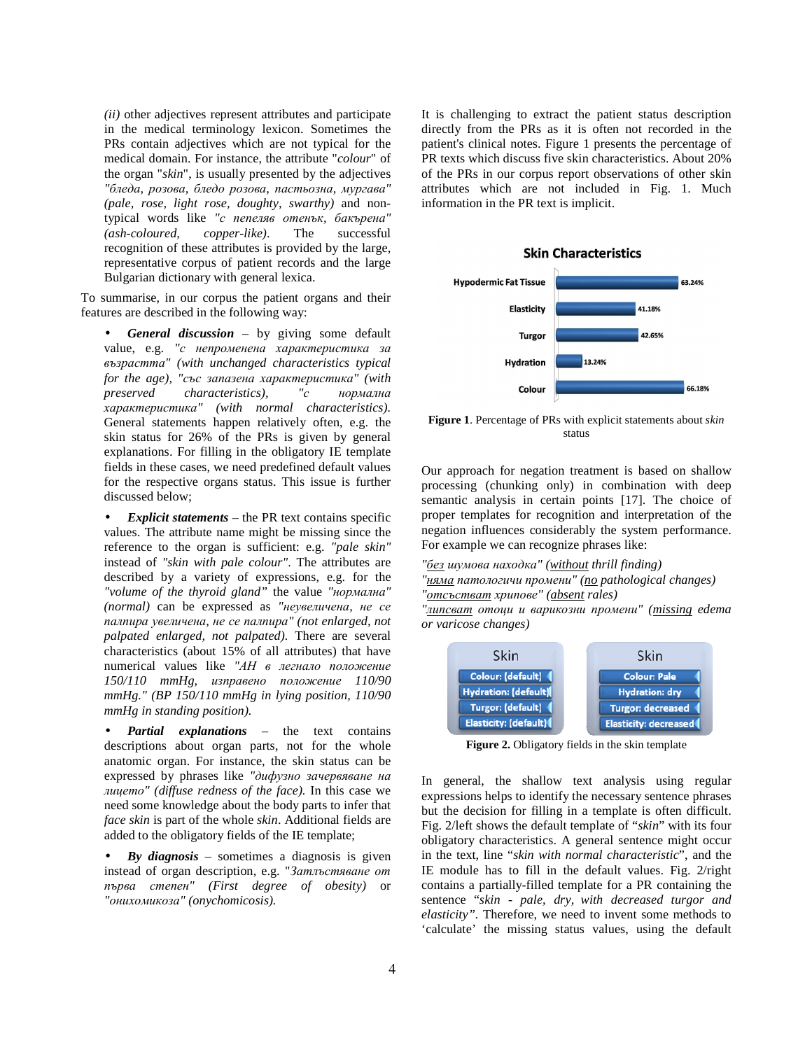*(ii)* other adjectives represent attributes and participate in the medical terminology lexicon. Sometimes the PRs contain adjectives which are not typical for the medical domain. For instance, the attribute "*colour*" of the organ "*skin*", is usually presented by the adjectives *"бледа, розова, бледо розова, пастьозна, мургава" (pale, rose, light rose, doughty, swarthy)* and nontypical words like *"с пепеляв отенък, бакърена" (ash-coloured, copper-like)*. The successful recognition of these attributes is provided by the large, representative corpus of patient records and the large Bulgarian dictionary with general lexica.

To summarise, in our corpus the patient organs and their features are described in the following way:

• *General discussion* – by giving some default value, e.g. *"с непроменена характеристика за възрастта" (with unchanged characteristics typical for the age), "със запазена характеристика" (with preserved characteristics), "с нормална характеристика" (with normal characteristics).*  General statements happen relatively often, e.g. the skin status for 26% of the PRs is given by general explanations. For filling in the obligatory IE template fields in these cases, we need predefined default values for the respective organs status. This issue is further discussed below;

• *Explicit statements* – the PR text contains specific values. The attribute name might be missing since the reference to the organ is sufficient: e.g. *"pale skin"* instead of *"skin with pale colour"*. The attributes are described by a variety of expressions, e.g. for the *"volume of the thyroid gland"* the value *"нормална" (normal)* can be expressed as *"неувеличена, не се палпира увеличена, не се палпира" (not enlarged, not palpated enlarged, not palpated).* There are several characteristics (about 15% of all attributes) that have numerical values like *"АН в легнало положение 150/110 mmHg, изправено положение 110/90 mmHg." (BP 150/110 mmHg in lying position, 110/90 mmHg in standing position).* 

• *Partial explanations* – the text contains descriptions about organ parts, not for the whole anatomic organ. For instance, the skin status can be expressed by phrases like *"дифузно зачервяване на лицето" (diffuse redness of the face).* In this case we need some knowledge about the body parts to infer that *face skin* is part of the whole *skin*. Additional fields are added to the obligatory fields of the IE template;

• *By diagnosis* – sometimes a diagnosis is given instead of organ description, e.g. "*Затлъстяване от първа степен" (First degree of obesity)* or *"онихомикоза" (onychomicosis).* 

It is challenging to extract the patient status description directly from the PRs as it is often not recorded in the patient's clinical notes. Figure 1 presents the percentage of PR texts which discuss five skin characteristics. About 20% of the PRs in our corpus report observations of other skin attributes which are not included in Fig. 1. Much information in the PR text is implicit.



**Figure 1**. Percentage of PRs with explicit statements about *skin* status

Our approach for negation treatment is based on shallow processing (chunking only) in combination with deep semantic analysis in certain points [17]. The choice of proper templates for recognition and interpretation of the negation influences considerably the system performance. For example we can recognize phrases like:

*"без шумова находка" (without thrill finding)* 

*"няма патологичи промени" (no pathological changes) "отсъстват хрипове" (absent rales)* 

*"липсват отоци и варикозни промени" (missing edema or varicose changes)* 



**Figure 2.** Obligatory fields in the skin template

In general, the shallow text analysis using regular expressions helps to identify the necessary sentence phrases but the decision for filling in a template is often difficult. Fig. 2/left shows the default template of "*skin*" with its four obligatory characteristics. A general sentence might occur in the text, line "*skin with normal characteristic*", and the IE module has to fill in the default values. Fig. 2/right contains a partially-filled template for a PR containing the sentence "*skin - pale, dry, with decreased turgor and elasticity".* Therefore, we need to invent some methods to 'calculate' the missing status values, using the default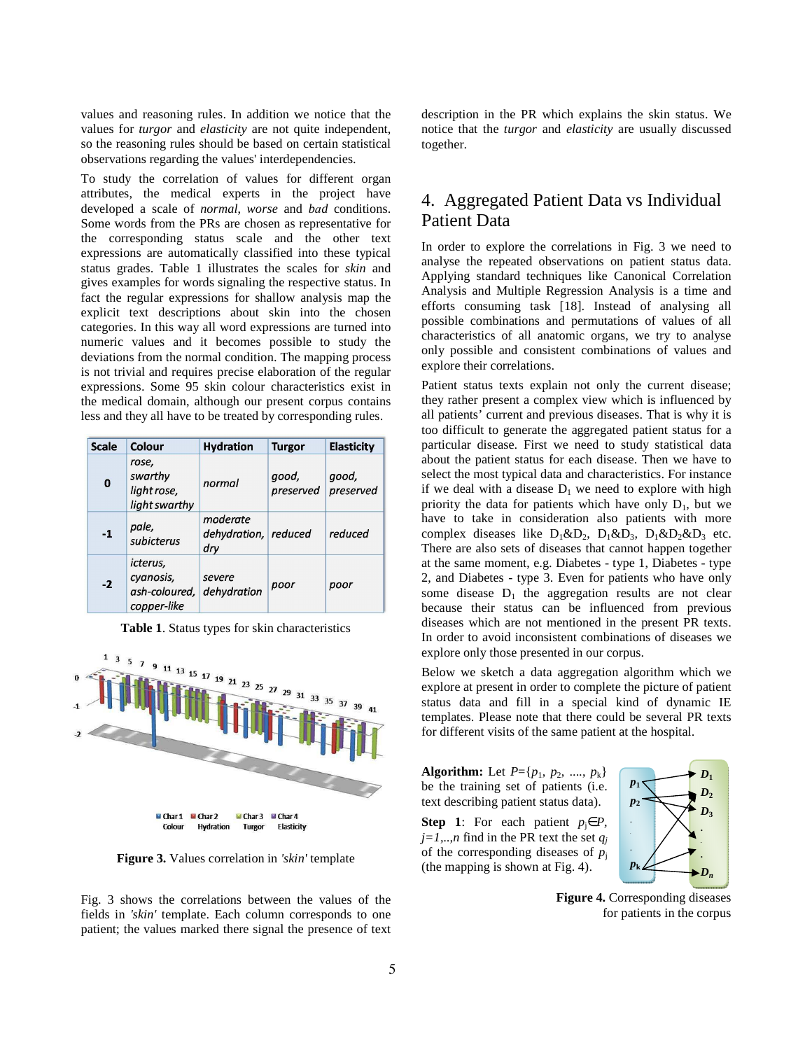values and reasoning rules. In addition we notice that the values for *turgor* and *elasticity* are not quite independent, so the reasoning rules should be based on certain statistical observations regarding the values' interdependencies.

To study the correlation of values for different organ attributes, the medical experts in the project have developed a scale of *normal*, *worse* and *bаd* conditions. Some words from the PRs are chosen as representative for the corresponding status scale and the other text expressions are automatically classified into these typical status grades. Table 1 illustrates the scales for *skin* and gives examples for words signaling the respective status. In fact the regular expressions for shallow analysis map the explicit text descriptions about skin into the chosen categories. In this way all word expressions are turned into numeric values and it becomes possible to study the deviations from the normal condition. The mapping process is not trivial and requires precise elaboration of the regular expressions. Some 95 skin colour characteristics exist in the medical domain, although our present corpus contains less and they all have to be treated by corresponding rules.

| <b>Scale</b> | Colour                                                | <b>Hydration</b>                        | <b>Turgor</b>      | <b>Elasticity</b>  |
|--------------|-------------------------------------------------------|-----------------------------------------|--------------------|--------------------|
| $\bf{0}$     | rose,<br>swarthy<br>light rose,<br>light swarthy      | normal                                  | good,<br>preserved | good,<br>preserved |
| $-1$         | pale,<br>subicterus                                   | moderate<br>dehydration, reduced<br>dry |                    | reduced            |
| $-2$         | icterus,<br>cyanosis,<br>ash-coloured,<br>copper-like | severe<br>dehydration                   | poor               | poor               |

**Table 1**. Status types for skin characteristics



**Figure 3.** Values correlation in *'skin'* template

Fig. 3 shows the correlations between the values of the fields in *'skin'* template. Each column corresponds to one patient; the values marked there signal the presence of text description in the PR which explains the skin status. We notice that the *turgor* and *elasticity* are usually discussed together.

# 4. Aggregated Patient Data vs Individual Patient Data

In order to explore the correlations in Fig. 3 we need to analyse the repeated observations on patient status data. Applying standard techniques like Canonical Correlation Analysis and Multiple Regression Analysis is a time and efforts consuming task [18]. Instead of analysing all possible combinations and permutations of values of all characteristics of all anatomic organs, we try to analyse only possible and consistent combinations of values and explore their correlations.

Patient status texts explain not only the current disease; they rather present a complex view which is influenced by all patients' current and previous diseases. That is why it is too difficult to generate the aggregated patient status for a particular disease. First we need to study statistical data about the patient status for each disease. Then we have to select the most typical data and characteristics. For instance if we deal with a disease  $D_1$  we need to explore with high priority the data for patients which have only  $D_1$ , but we have to take in consideration also patients with more complex diseases like  $D_1 \& D_2$ ,  $D_1 \& D_3$ ,  $D_1 \& D_2 \& D_3$  etc. There are also sets of diseases that cannot happen together at the same moment, e.g. Diabetes - type 1, Diabetes - type 2, and Diabetes - type 3. Even for patients who have only some disease  $D_1$  the aggregation results are not clear because their status can be influenced from previous diseases which are not mentioned in the present PR texts. In order to avoid inconsistent combinations of diseases we explore only those presented in our corpus.

Below we sketch a data aggregation algorithm which we explore at present in order to complete the picture of patient status data and fill in a special kind of dynamic IE templates. Please note that there could be several PR texts for different visits of the same patient at the hospital.

**Algorithm:** Let  $P = \{p_1, p_2, ..., p_k\}$ be the training set of patients (i.e. text describing patient status data).

**Step 1**: For each patient  $p_i \in P$ ,  $j=1,..,n$  find in the PR text the set  $q_j$ of the corresponding diseases of  $\vec{p}_i$ (the mapping is shown at Fig. 4).



**Figure 4.** Corresponding diseases for patients in the corpus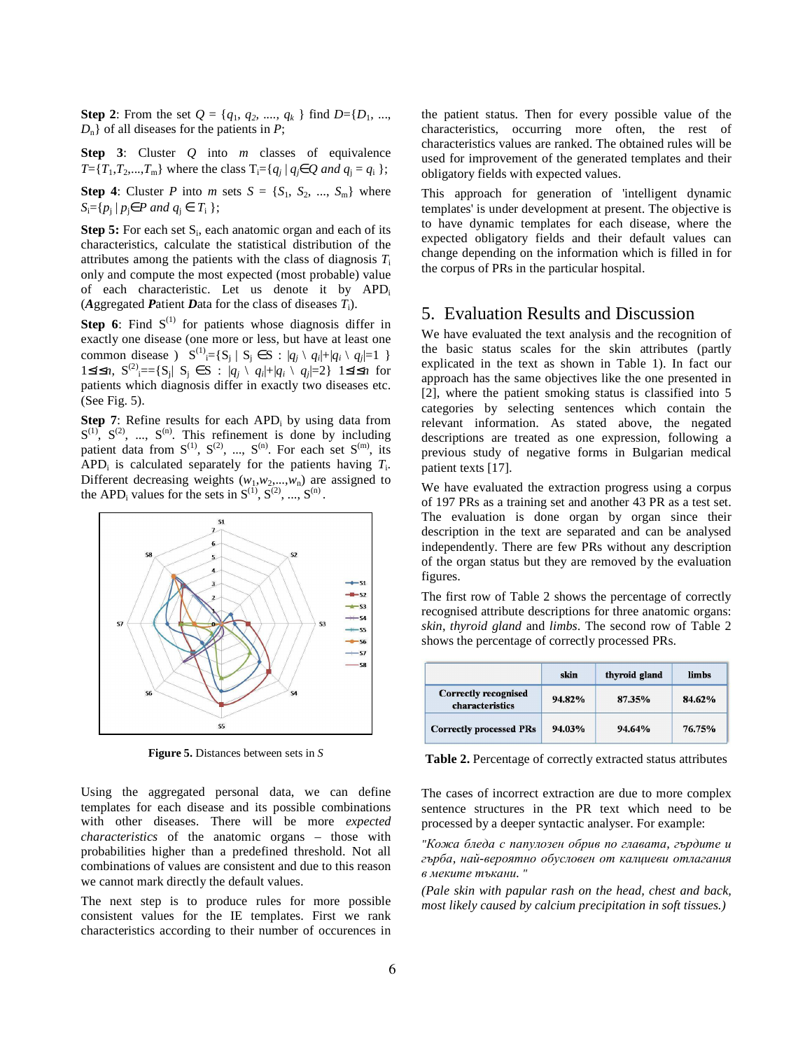**Step 2**: From the set  $Q = \{q_1, q_2, ..., q_k\}$  find  $D = \{D_1, ...,$ *D*n} of all diseases for the patients in *P*;

**Step 3**: Cluster *Q* into *m* classes of equivalence *T*={*T*<sub>1</sub>,*T*<sub>2</sub>,...,*T*<sub>m</sub>} where the class  $T_i = \{q_j | q_j \in Q \text{ and } q_j = q_i \}$ ;

**Step 4**: Cluster *P* into *m* sets  $S = \{S_1, S_2, ..., S_m\}$  where  $S_i = \{ p_j \mid p_j \in P \text{ and } q_j \in T_i \};$ 

**Step 5:** For each set S<sub>i</sub>, each anatomic organ and each of its characteristics, calculate the statistical distribution of the attributes among the patients with the class of diagnosis  $T_i$ only and compute the most expected (most probable) value of each characteristic. Let us denote it by APD<sub>i</sub> (*A*ggregated *P*atient *D*ata for the class of diseases *T*i).

**Step 6**: Find  $S^{(1)}$  for patients whose diagnosis differ in exactly one disease (one more or less, but have at least one common disease )  $S^{(1)} = \{ S_j \mid S_j \in S : |q_j \setminus q_i| + |q_i \setminus q_j| = 1 \}$ 1≤*i*≤*n*,  $S^{(2)}$ <sub>i</sub>=={S<sub>j</sub>| S<sub>j</sub> ∈ S : |*q<sub>j</sub>* \ *q<sub>i</sub>*|+|*q<sub>i</sub>* \ *q*<sub>j</sub>|=2} 1≤*i*≤*n* for patients which diagnosis differ in exactly two diseases etc. (See Fig. 5).

**Step 7**: Refine results for each  $APD<sub>i</sub>$  by using data from  $S^{(1)}$ ,  $S^{(2)}$ , ...,  $S^{(n)}$ . This refinement is done by including patient data from  $S^{(1)}$ ,  $S^{(2)}$ , ...,  $S^{(n)}$ . For each set  $S^{(m)}$ , its  $APD_i$  is calculated separately for the patients having  $T_i$ . Different decreasing weights  $(w_1, w_2,...,w_n)$  are assigned to the APD<sub>i</sub> values for the sets in  $S^{(1)}$ ,  $S^{(2)}$ , ...,  $S^{(n)}$ .



**Figure 5.** Distances between sets in *S*

Using the aggregated personal data, we can define templates for each disease and its possible combinations with other diseases. There will be more *expected characteristics* of the anatomic organs – those with probabilities higher than a predefined threshold. Not all combinations of values are consistent and due to this reason we cannot mark directly the default values.

The next step is to produce rules for more possible consistent values for the IE templates. First we rank characteristics according to their number of occurences in the patient status. Then for every possible value of the characteristics, occurring more often, the rest of characteristics values are ranked. The obtained rules will be used for improvement of the generated templates and their obligatory fields with expected values.

This approach for generation of 'intelligent dynamic templates' is under development at present. The objective is to have dynamic templates for each disease, where the expected obligatory fields and their default values can change depending on the information which is filled in for the corpus of PRs in the particular hospital.

# 5. Evaluation Results and Discussion

We have evaluated the text analysis and the recognition of the basic status scales for the skin attributes (partly explicated in the text as shown in Table 1). In fact our approach has the same objectives like the one presented in [2], where the patient smoking status is classified into 5 categories by selecting sentences which contain the relevant information. As stated above, the negated descriptions are treated as one expression, following a previous study of negative forms in Bulgarian medical patient texts [17].

We have evaluated the extraction progress using a corpus of 197 PRs as a training set and another 43 PR as a test set. The evaluation is done organ by organ since their description in the text are separated and can be analysed independently. There are few PRs without any description of the organ status but they are removed by the evaluation figures.

The first row of Table 2 shows the percentage of correctly recognised attribute descriptions for three anatomic organs: *skin*, *thyroid gland* and *limbs*. The second row of Table 2 shows the percentage of correctly processed PRs.

|                                                | skin   | thyroid gland | limbs  |
|------------------------------------------------|--------|---------------|--------|
| <b>Correctly recognised</b><br>characteristics | 94.82% | 87.35%        | 84.62% |
| <b>Correctly processed PRs</b>                 | 94.03% | 94.64%        | 76.75% |

**Table 2.** Percentage of correctly extracted status attributes

The cases of incorrect extraction are due to more complex sentence structures in the PR text which need to be processed by a deeper syntactic analyser. For example:

*"Кожа бледа с папулозен обрив по главата, гърдите и гърба, най-вероятно обусловен от калциеви отлагания в меките тъкани. "*

*(Pale skin with papular rash on the head, chest and back, most likely caused by calcium precipitation in soft tissues.)*